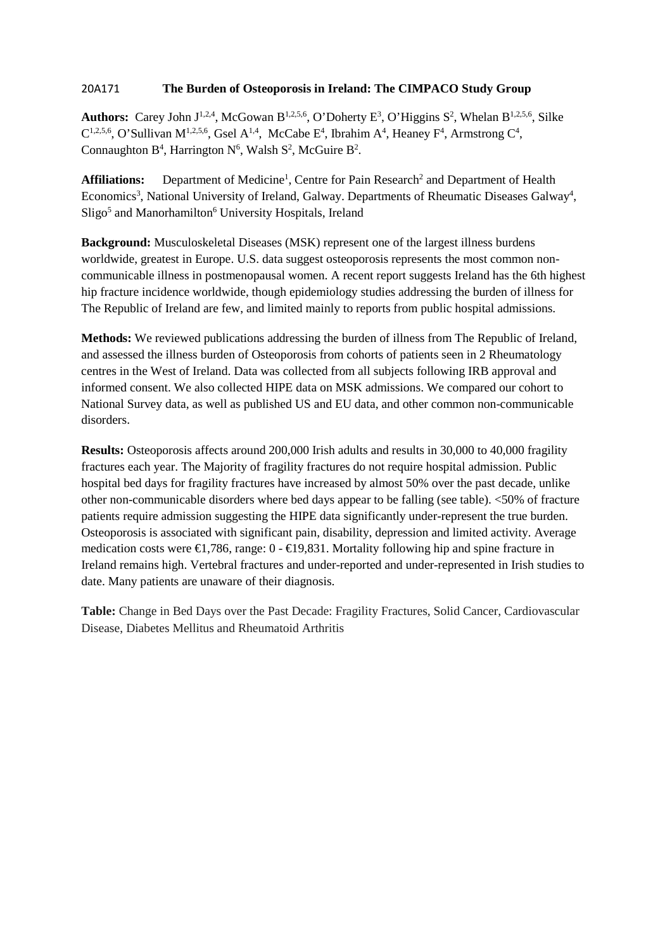## 20A171 **The Burden of Osteoporosis in Ireland: The CIMPACO Study Group**

**Authors:** Carey John  $J^{1,2,4}$ , McGowan  $B^{1,2,5,6}$ , O'Doherty  $E^3$ , O'Higgins  $S^2$ , Whelan  $B^{1,2,5,6}$ , Silke  $C^{1,2,5,6}$ , O'Sullivan M<sup>1,2,5,6</sup>, Gsel A<sup>1,4</sup>, McCabe E<sup>4</sup>, Ibrahim A<sup>4</sup>, Heaney F<sup>4</sup>, Armstrong C<sup>4</sup>, Connaughton  $B^4$ , Harrington  $N^6$ , Walsh  $S^2$ , McGuire  $B^2$ .

Affiliations: Department of Medicine<sup>1</sup>, Centre for Pain Research<sup>2</sup> and Department of Health Economics<sup>3</sup>, National University of Ireland, Galway. Departments of Rheumatic Diseases Galway<sup>4</sup>, Sligo<sup>5</sup> and Manorhamilton<sup>6</sup> University Hospitals, Ireland

**Background:** Musculoskeletal Diseases (MSK) represent one of the largest illness burdens worldwide, greatest in Europe. U.S. data suggest osteoporosis represents the most common noncommunicable illness in postmenopausal women. A recent report suggests Ireland has the 6th highest hip fracture incidence worldwide, though epidemiology studies addressing the burden of illness for The Republic of Ireland are few, and limited mainly to reports from public hospital admissions.

**Methods:** We reviewed publications addressing the burden of illness from The Republic of Ireland, and assessed the illness burden of Osteoporosis from cohorts of patients seen in 2 Rheumatology centres in the West of Ireland. Data was collected from all subjects following IRB approval and informed consent. We also collected HIPE data on MSK admissions. We compared our cohort to National Survey data, as well as published US and EU data, and other common non-communicable disorders.

**Results:** Osteoporosis affects around 200,000 Irish adults and results in 30,000 to 40,000 fragility fractures each year. The Majority of fragility fractures do not require hospital admission. Public hospital bed days for fragility fractures have increased by almost 50% over the past decade, unlike other non-communicable disorders where bed days appear to be falling (see table). <50% of fracture patients require admission suggesting the HIPE data significantly under-represent the true burden. Osteoporosis is associated with significant pain, disability, depression and limited activity. Average medication costs were  $\in$ 1,786, range: 0 -  $\in$ 19,831. Mortality following hip and spine fracture in Ireland remains high. Vertebral fractures and under-reported and under-represented in Irish studies to date. Many patients are unaware of their diagnosis.

**Table:** Change in Bed Days over the Past Decade: Fragility Fractures, Solid Cancer, Cardiovascular Disease, Diabetes Mellitus and Rheumatoid Arthritis